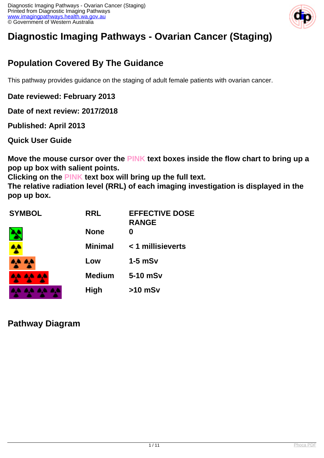

# **Diagnostic Imaging Pathways - Ovarian Cancer (Staging)**

### **Population Covered By The Guidance**

This pathway provides guidance on the staging of adult female patients with ovarian cancer.

**Date reviewed: February 2013**

**Date of next review: 2017/2018**

**Published: April 2013** 

**Quick User Guide**

**Move the mouse cursor over the PINK text boxes inside the flow chart to bring up a pop up box with salient points.**

**Clicking on the PINK text box will bring up the full text.**

**The relative radiation level (RRL) of each imaging investigation is displayed in the pop up box.**

| <b>SYMBOL</b> | <b>RRL</b>     | <b>EFFECTIVE DOSE</b><br><b>RANGE</b> |
|---------------|----------------|---------------------------------------|
|               | <b>None</b>    | O                                     |
|               | <b>Minimal</b> | < 1 millisieverts                     |
| نائي گا       | Low            | $1-5$ mSv                             |
|               | <b>Medium</b>  | 5-10 mSv                              |
|               | <b>High</b>    | $>10$ mSv                             |

**Pathway Diagram**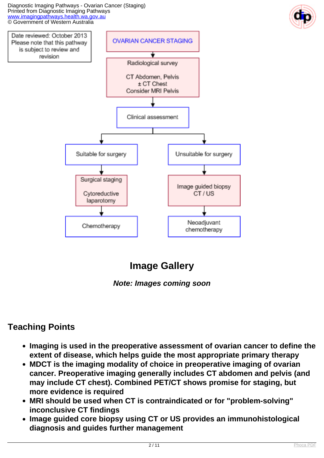Diagnostic Imaging Pathways - Ovarian Cancer (Staging) Printed from Diagnostic Imaging Pathways [www.imagingpathways.health.wa.gov.au](http://www.imagingpathways.health.wa.gov.au/) © Government of Western Australia



## **Image Gallery**

**Note: Images coming soon**

### **Teaching Points**

- **Imaging is used in the preoperative assessment of ovarian cancer to define the extent of disease, which helps guide the most appropriate primary therapy**
- **MDCT is the imaging modality of choice in preoperative imaging of ovarian cancer. Preoperative imaging generally includes CT abdomen and pelvis (and may include CT chest). Combined PET/CT shows promise for staging, but more evidence is required**
- **MRI should be used when CT is contraindicated or for "problem-solving" inconclusive CT findings**
- **Image guided core biopsy using CT or US provides an immunohistological diagnosis and guides further management**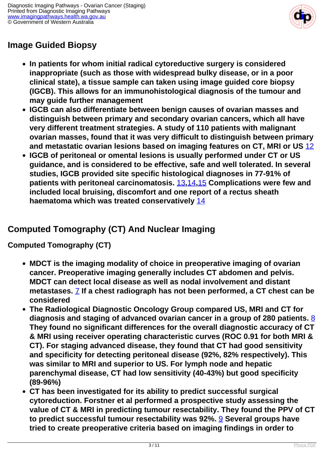

### **Image Guided Biopsy**

- **In patients for whom initial radical cytoreductive surgery is considered inappropriate (such as those with widespread bulky disease, or in a poor clinical state), a tissue sample can taken using image guided core biopsy (IGCB). This allows for an immunohistological diagnosis of the tumour and may guide further management**
- **IGCB can also differentiate between benign causes of ovarian masses and distinguish between primary and secondary ovarian cancers, which all have very different treatment strategies. A study of 110 patients with malignant ovarian masses, found that it was very difficult to distinguish between primary and metastatic ovarian lesions based on imaging features on CT, MRI or US** [12](index.php?option=com_content&view=article&id=176&tab=references#12)
- **IGCB of peritoneal or omental lesions is usually performed under CT or US guidance, and is considered to be effective, safe and well tolerated. In several studies, IGCB provided site specific histological diagnoses in 77-91% of patients with peritoneal carcinomatosis.** [13](index.php?option=com_content&view=article&id=176&tab=references#13)**,**[14](index.php?option=com_content&view=article&id=176&tab=references#14)**,**[15](index.php?option=com_content&view=article&id=176&tab=references#15) **Complications were few and included local bruising, discomfort and one report of a rectus sheath haematoma which was treated conservatively** [14](index.php?option=com_content&view=article&id=176&tab=references#14)

### **Computed Tomography (CT) And Nuclear Imaging**

**Computed Tomography (CT)**

- **MDCT is the imaging modality of choice in preoperative imaging of ovarian cancer. Preoperative imaging generally includes CT abdomen and pelvis. MDCT can detect local disease as well as nodal involvement and distant metastases.** [7](index.php?option=com_content&view=article&id=176&tab=references#7) **If a chest radiograph has not been performed, a CT chest can be considered**
- **The Radiological Diagnostic Oncology Group compared US, MRI and CT for diagnosis and staging of advanced ovarian cancer in a group of 280 patients.** [8](index.php?option=com_content&view=article&id=176&tab=references#8) **They found no significant differences for the overall diagnostic accuracy of CT & MRI using receiver operating characteristic curves (ROC 0.91 for both MRI & CT). For staging advanced disease, they found that CT had good sensitivity and specificity for detecting peritoneal disease (92%, 82% respectively). This was similar to MRI and superior to US. For lymph node and hepatic parenchymal disease, CT had low sensitivity (40-43%) but good specificity (89-96%)**
- **CT has been investigated for its ability to predict successful surgical cytoreduction. Forstner et al performed a prospective study assessing the value of CT & MRI in predicting tumour resectability. They found the PPV of CT to predict successful tumour resectability was 92%.** [9](index.php?option=com_content&view=article&id=176&tab=references#9) **Several groups have tried to create preoperative criteria based on imaging findings in order to**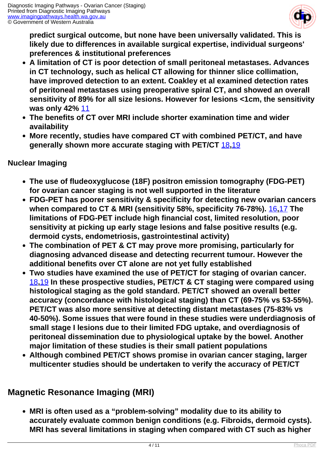

**predict surgical outcome, but none have been universally validated. This is likely due to differences in available surgical expertise, individual surgeons' preferences & institutional preferences**

- **A limitation of CT is poor detection of small peritoneal metastases. Advances in CT technology, such as helical CT allowing for thinner slice collimation, have improved detection to an extent. Coakley et al examined detection rates of peritoneal metastases using preoperative spiral CT, and showed an overall sensitivity of 89% for all size lesions. However for lesions <1cm, the sensitivity was only 42%** [11](index.php?option=com_content&view=article&id=176&tab=references#11)
- **The benefits of CT over MRI include shorter examination time and wider availability**
- **More recently, studies have compared CT with combined PET/CT, and have generally shown more accurate staging with PET/CT** [18](index.php?option=com_content&view=article&id=176&tab=references#18)**,**[19](index.php?option=com_content&view=article&id=176&tab=references#19)

#### **Nuclear Imaging**

- **The use of fludeoxyglucose (18F) positron emission tomography (FDG-PET) for ovarian cancer staging is not well supported in the literature**
- **FDG-PET has poorer sensitivity & specificity for detecting new ovarian cancers when compared to CT & MRI (sensitivity 58%, specificity 76-78%).** [16](index.php?option=com_content&view=article&id=176&tab=references#16)**,**[17](index.php?option=com_content&view=article&id=176&tab=references#17) **The limitations of FDG-PET include high financial cost, limited resolution, poor sensitivity at picking up early stage lesions and false positive results (e.g. dermoid cysts, endometriosis, gastrointestinal activity)**
- **The combination of PET & CT may prove more promising, particularly for diagnosing advanced disease and detecting recurrent tumour. However the additional benefits over CT alone are not yet fully established**
- **Two studies have examined the use of PET/CT for staging of ovarian cancer.**  [18](index.php?option=com_content&view=article&id=176&tab=references#18)**,**[19](index.php?option=com_content&view=article&id=176&tab=references#19) **In these prospective studies, PET/CT & CT staging were compared using histological staging as the gold standard. PET/CT showed an overall better accuracy (concordance with histological staging) than CT (69-75% vs 53-55%). PET/CT was also more sensitive at detecting distant metastases (75-83% vs 40-50%). Some issues that were found in these studies were underdiagnosis of small stage I lesions due to their limited FDG uptake, and overdiagnosis of peritoneal dissemination due to physiological uptake by the bowel. Another major limitation of these studies is their small patient populations**
- **Although combined PET/CT shows promise in ovarian cancer staging, larger multicenter studies should be undertaken to verify the accuracy of PET/CT**

#### **Magnetic Resonance Imaging (MRI)**

**MRI is often used as a "problem-solving" modality due to its ability to accurately evaluate common benign conditions (e.g. Fibroids, dermoid cysts). MRI has several limitations in staging when compared with CT such as higher**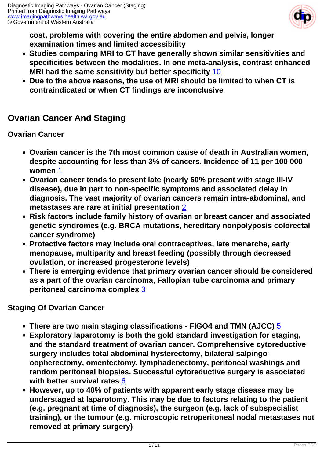

**cost, problems with covering the entire abdomen and pelvis, longer examination times and limited accessibility**

- **Studies comparing MRI to CT have generally shown similar sensitivities and specificities between the modalities. In one meta-analysis, contrast enhanced MRI had the same sensitivity but better specificity** [10](index.php?option=com_content&view=article&id=176&tab=references#10)
- **Due to the above reasons, the use of MRI should be limited to when CT is contraindicated or when CT findings are inconclusive**

#### **Ovarian Cancer And Staging**

#### **Ovarian Cancer**

- **Ovarian cancer is the 7th most common cause of death in Australian women, despite accounting for less than 3% of cancers. Incidence of 11 per 100 000 women** [1](index.php?option=com_content&view=article&id=176&tab=references#1)
- **Ovarian cancer tends to present late (nearly 60% present with stage III-IV disease), due in part to non-specific symptoms and associated delay in diagnosis. The vast majority of ovarian cancers remain intra-abdominal, and metastases are rare at initial presentation** [2](index.php?option=com_content&view=article&id=176&tab=references#2)
- **Risk factors include family history of ovarian or breast cancer and associated genetic syndromes (e.g. BRCA mutations, hereditary nonpolyposis colorectal cancer syndrome)**
- **Protective factors may include oral contraceptives, late menarche, early menopause, multiparity and breast feeding (possibly through decreased ovulation, or increased progesterone levels)**
- **There is emerging evidence that primary ovarian cancer should be considered as a part of the ovarian carcinoma, Fallopian tube carcinoma and primary peritoneal carcinoma complex** [3](index.php?option=com_content&view=article&id=176&tab=references#3)

#### **Staging Of Ovarian Cancer**

- **There are two main staging classifications FIGO4 and TMN (AJCC)** [5](index.php?option=com_content&view=article&id=176&tab=references#5)
- **Exploratory laparotomy is both the gold standard investigation for staging, and the standard treatment of ovarian cancer. Comprehensive cytoreductive surgery includes total abdominal hysterectomy, bilateral salpingooopherectomy, omentectomy, lymphadenectomy, peritoneal washings and random peritoneal biopsies. Successful cytoreductive surgery is associated with better survival rates** [6](index.php?option=com_content&view=article&id=176&tab=references#6)
- **However, up to 40% of patients with apparent early stage disease may be understaged at laparotomy. This may be due to factors relating to the patient (e.g. pregnant at time of diagnosis), the surgeon (e.g. lack of subspecialist training), or the tumour (e.g. microscopic retroperitoneal nodal metastases not removed at primary surgery)**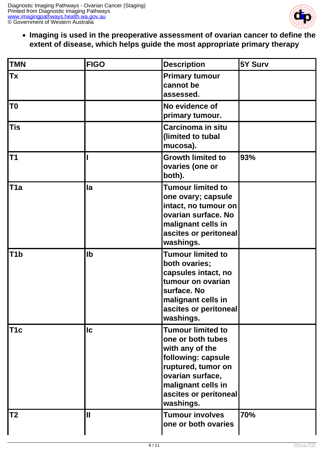

**Imaging is used in the preoperative assessment of ovarian cancer to define the extent of disease, which helps guide the most appropriate primary therapy**

| <b>TMN</b>       | <b>FIGO</b>   | <b>Description</b>                                                                                                                                                                           | 5Y Surv |
|------------------|---------------|----------------------------------------------------------------------------------------------------------------------------------------------------------------------------------------------|---------|
| <b>Tx</b>        |               | <b>Primary tumour</b><br>cannot be<br>assessed.                                                                                                                                              |         |
| T <sub>0</sub>   |               | No evidence of<br>primary tumour.                                                                                                                                                            |         |
| <b>Tis</b>       |               | Carcinoma in situ<br>(limited to tubal<br>mucosa).                                                                                                                                           |         |
| T <sub>1</sub>   |               | <b>Growth limited to</b><br>ovaries (one or<br>both).                                                                                                                                        | 93%     |
| T <sub>1</sub> a | la            | <b>Tumour limited to</b><br>one ovary; capsule<br>intact, no tumour on<br>ovarian surface. No<br>malignant cells in<br>ascites or peritoneal<br>washings.                                    |         |
| T <sub>1</sub> b | $\mathsf{lb}$ | <b>Tumour limited to</b><br>both ovaries;<br>capsules intact, no<br>tumour on ovarian<br>surface. No<br>malignant cells in<br>ascites or peritoneal<br>washings.                             |         |
| T <sub>1</sub> c | <b>Ic</b>     | <b>Tumour limited to</b><br>one or both tubes<br>with any of the<br>following: capsule<br>ruptured, tumor on<br>ovarian surface,<br>malignant cells in<br>ascites or peritoneal<br>washings. |         |
| T2               | $\mathbf \Pi$ | <b>Tumour involves</b><br>one or both ovaries                                                                                                                                                | 70%     |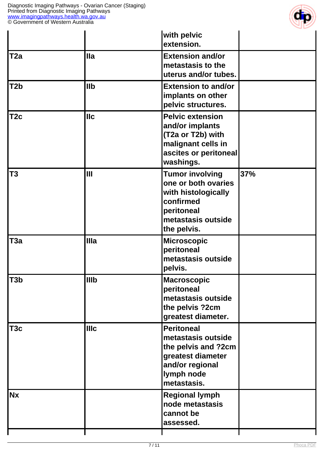

|                  |             | with pelvic<br>extension.                                                                                                            |     |
|------------------|-------------|--------------------------------------------------------------------------------------------------------------------------------------|-----|
| T <sub>2a</sub>  | <b>Illa</b> | <b>Extension and/or</b><br>metastasis to the<br>uterus and/or tubes.                                                                 |     |
| T <sub>2</sub> b | llb         | <b>Extension to and/or</b><br>implants on other<br>pelvic structures.                                                                |     |
| T <sub>2c</sub>  | llc         | <b>Pelvic extension</b><br>and/or implants<br>(T2a or T2b) with<br>malignant cells in<br>ascites or peritoneal<br>washings.          |     |
| <b>T3</b>        | Ш           | <b>Tumor involving</b><br>one or both ovaries<br>with histologically<br>confirmed<br>peritoneal<br>metastasis outside<br>the pelvis. | 37% |
| T <sub>3a</sub>  | IIIa        | <b>Microscopic</b><br>peritoneal<br>metastasis outside<br>pelvis.                                                                    |     |
| T <sub>3</sub> b | <b>IIIb</b> | <b>Macroscopic</b><br>peritoneal<br>metastasis outside<br>the pelvis ?2cm<br>greatest diameter.                                      |     |
| T <sub>3</sub> c | IIIc        | <b>Peritoneal</b><br>metastasis outside<br>the pelvis and ?2cm<br>greatest diameter<br>and/or regional<br>lymph node<br>metastasis.  |     |
| <b>Nx</b>        |             | <b>Regional lymph</b><br>node metastasis<br>cannot be<br>assessed.                                                                   |     |
|                  |             |                                                                                                                                      |     |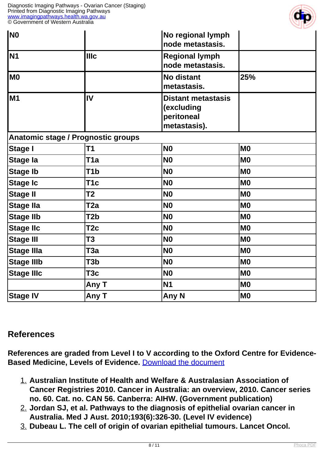

| N0                |                                    | No regional lymph<br>node metastasis.                                 |                |
|-------------------|------------------------------------|-----------------------------------------------------------------------|----------------|
| N <sub>1</sub>    | <b>Illc</b>                        | <b>Regional lymph</b><br>node metastasis.                             |                |
| M0                |                                    | <b>No distant</b><br>metastasis.                                      | 25%            |
| M <sub>1</sub>    | IV                                 | <b>Distant metastasis</b><br>(excluding<br>peritoneal<br>metastasis). |                |
|                   | Anatomic stage / Prognostic groups |                                                                       |                |
| <b>Stage I</b>    | T <sub>1</sub>                     | <b>N0</b>                                                             | M <sub>0</sub> |
| Stage la          | T <sub>1</sub> a                   | <b>N0</b>                                                             | M <sub>0</sub> |
| <b>Stage Ib</b>   | T <sub>1</sub> b                   | <b>N0</b>                                                             | M <sub>0</sub> |
| <b>Stage Ic</b>   | T <sub>1</sub> c                   | <b>N0</b>                                                             | M <sub>0</sub> |
| <b>Stage II</b>   | <b>T2</b>                          | <b>N0</b>                                                             | M <sub>0</sub> |
| Stage Ila         | T2a                                | <b>N0</b>                                                             | M <sub>0</sub> |
| <b>Stage IIb</b>  | T <sub>2</sub> b                   | <b>N0</b>                                                             | M <sub>0</sub> |
| <b>Stage IIc</b>  | T <sub>2c</sub>                    | <b>N0</b>                                                             | M <sub>0</sub> |
| <b>Stage III</b>  | T <sub>3</sub>                     | <b>N0</b>                                                             | M <sub>0</sub> |
| <b>Stage IIIa</b> | T <sub>3</sub> a                   | <b>N0</b>                                                             | M <sub>0</sub> |
| <b>Stage IIIb</b> | T3b                                | <b>N0</b>                                                             | M <sub>0</sub> |
| <b>Stage IIIc</b> | T <sub>3</sub> c                   | <b>N0</b>                                                             | M <sub>0</sub> |
|                   | Any T                              | <b>N1</b>                                                             | M <sub>0</sub> |
| <b>Stage IV</b>   | Any T                              | Any N                                                                 | M <sub>0</sub> |

#### **References**

**References are graded from Level I to V according to the Oxford Centre for Evidence-Based Medicine, Levels of Evidence.** [Download the document](http://www.cebm.net/wp-content/uploads/2014/06/CEBM-Levels-of-Evidence-2.1.pdf)

- 1. **Australian Institute of Health and Welfare & Australasian Association of Cancer Registries 2010. Cancer in Australia: an overview, 2010. Cancer series no. 60. Cat. no. CAN 56. Canberra: AIHW. (Government publication)**
- 2. **Jordan SJ, et al. Pathways to the diagnosis of epithelial ovarian cancer in Australia. Med J Aust. 2010;193(6):326-30. (Level IV evidence)**
- 3. **Dubeau L. The cell of origin of ovarian epithelial tumours. Lancet Oncol.**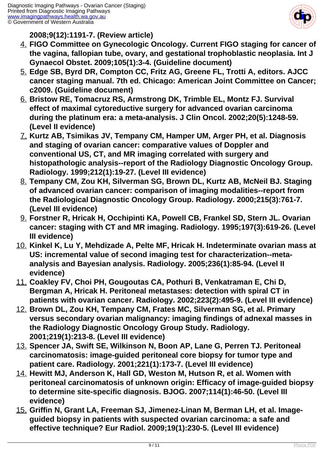

**2008;9(12):1191-7. (Review article)**

- 4. **FIGO Committee on Gynecologic Oncology. Current FIGO staging for cancer of the vagina, fallopian tube, ovary, and gestational trophoblastic neoplasia. Int J Gynaecol Obstet. 2009;105(1):3-4. (Guideline document)**
- 5. **Edge SB, Byrd DR, Compton CC, Fritz AG, Greene FL, Trotti A, editors. AJCC cancer staging manual. 7th ed. Chicago: American Joint Committee on Cancer; c2009. (Guideline document)**
- 6. **Bristow RE, Tomacruz RS, Armstrong DK, Trimble EL, Montz FJ. Survival effect of maximal cytoreductive surgery for advanced ovarian carcinoma during the platinum era: a meta-analysis. J Clin Oncol. 2002;20(5):1248-59. (Level II evidence)**
- 7. **Kurtz AB, Tsimikas JV, Tempany CM, Hamper UM, Arger PH, et al. Diagnosis and staging of ovarian cancer: comparative values of Doppler and conventional US, CT, and MR imaging correlated with surgery and histopathologic analysis--report of the Radiology Diagnostic Oncology Group. Radiology. 1999;212(1):19-27. (Level III evidence)**
- 8. **Tempany CM, Zou KH, Silverman SG, Brown DL, Kurtz AB, McNeil BJ. Staging of advanced ovarian cancer: comparison of imaging modalities--report from the Radiological Diagnostic Oncology Group. Radiology. 2000;215(3):761-7. (Level III evidence)**
- 9. **Forstner R, Hricak H, Occhipinti KA, Powell CB, Frankel SD, Stern JL. Ovarian cancer: staging with CT and MR imaging. Radiology. 1995;197(3):619-26. (Level III evidence)**
- 10. **Kinkel K, Lu Y, Mehdizade A, Pelte MF, Hricak H. Indeterminate ovarian mass at US: incremental value of second imaging test for characterization--metaanalysis and Bayesian analysis. Radiology. 2005;236(1):85-94. (Level II evidence)**
- 11. **Coakley FV, Choi PH, Gougoutas CA, Pothuri B, Venkatraman E, Chi D, Bergman A, Hricak H. Peritoneal metastases: detection with spiral CT in patients with ovarian cancer. Radiology. 2002;223(2):495-9. (Level III evidence)**
- 12. **Brown DL, Zou KH, Tempany CM, Frates MC, Silverman SG, et al. Primary versus secondary ovarian malignancy: imaging findings of adnexal masses in the Radiology Diagnostic Oncology Group Study. Radiology. 2001;219(1):213-8. (Level III evidence)**
- 13. **Spencer JA, Swift SE, Wilkinson N, Boon AP, Lane G, Perren TJ. Peritoneal carcinomatosis: image-guided peritoneal core biopsy for tumor type and patient care. Radiology. 2001;221(1):173-7. (Level III evidence)**
- 14. **Hewitt MJ, Anderson K, Hall GD, Weston M, Hutson R, et al. Women with peritoneal carcinomatosis of unknown origin: Efficacy of image-guided biopsy to determine site-specific diagnosis. BJOG. 2007;114(1):46-50. (Level III evidence)**
- 15. **Griffin N, Grant LA, Freeman SJ, Jimenez-Linan M, Berman LH, et al. Imageguided biopsy in patients with suspected ovarian carcinoma: a safe and effective technique? Eur Radiol. 2009;19(1):230-5. (Level III evidence)**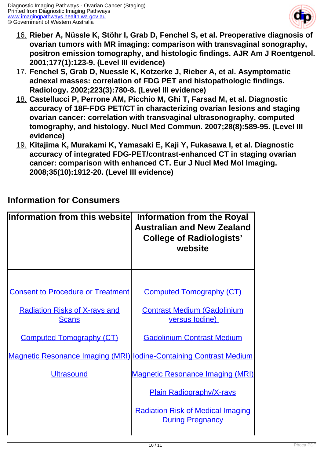

- 16. **Rieber A, Nüssle K, Stöhr I, Grab D, Fenchel S, et al. Preoperative diagnosis of ovarian tumors with MR imaging: comparison with transvaginal sonography, positron emission tomography, and histologic findings. AJR Am J Roentgenol. 2001;177(1):123-9. (Level III evidence)**
- 17. **Fenchel S, Grab D, Nuessle K, Kotzerke J, Rieber A, et al. Asymptomatic adnexal masses: correlation of FDG PET and histopathologic findings. Radiology. 2002;223(3):780-8. (Level III evidence)**
- 18. **Castellucci P, Perrone AM, Picchio M, Ghi T, Farsad M, et al. Diagnostic accuracy of 18F-FDG PET/CT in characterizing ovarian lesions and staging ovarian cancer: correlation with transvaginal ultrasonography, computed tomography, and histology. Nucl Med Commun. 2007;28(8):589-95. (Level III evidence)**
- 19. **Kitajima K, Murakami K, Yamasaki E, Kaji Y, Fukasawa I, et al. Diagnostic accuracy of integrated FDG-PET/contrast-enhanced CT in staging ovarian cancer: comparison with enhanced CT. Eur J Nucl Med Mol Imaging. 2008;35(10):1912-20. (Level III evidence)**

| <b>Information from this websitel</b>                                     | Information from the Royal<br><b>Australian and New Zealand</b><br><b>College of Radiologists'</b><br>website |
|---------------------------------------------------------------------------|---------------------------------------------------------------------------------------------------------------|
|                                                                           |                                                                                                               |
| <b>Consent to Procedure or Treatment</b>                                  | <b>Computed Tomography (CT)</b>                                                                               |
| <b>Radiation Risks of X-rays and</b><br><b>Scans</b>                      | <b>Contrast Medium (Gadolinium</b><br>versus lodine)                                                          |
| <b>Computed Tomography (CT)</b>                                           | <b>Gadolinium Contrast Medium</b>                                                                             |
| <b>Magnetic Resonance Imaging (MRI) lodine-Containing Contrast Medium</b> |                                                                                                               |
| <b>Ultrasound</b>                                                         | <b>Magnetic Resonance Imaging (MRI)</b>                                                                       |
|                                                                           | <b>Plain Radiography/X-rays</b>                                                                               |
|                                                                           | <b>Radiation Risk of Medical Imaging</b><br><b>During Pregnancy</b>                                           |
|                                                                           |                                                                                                               |

#### **Information for Consumers**